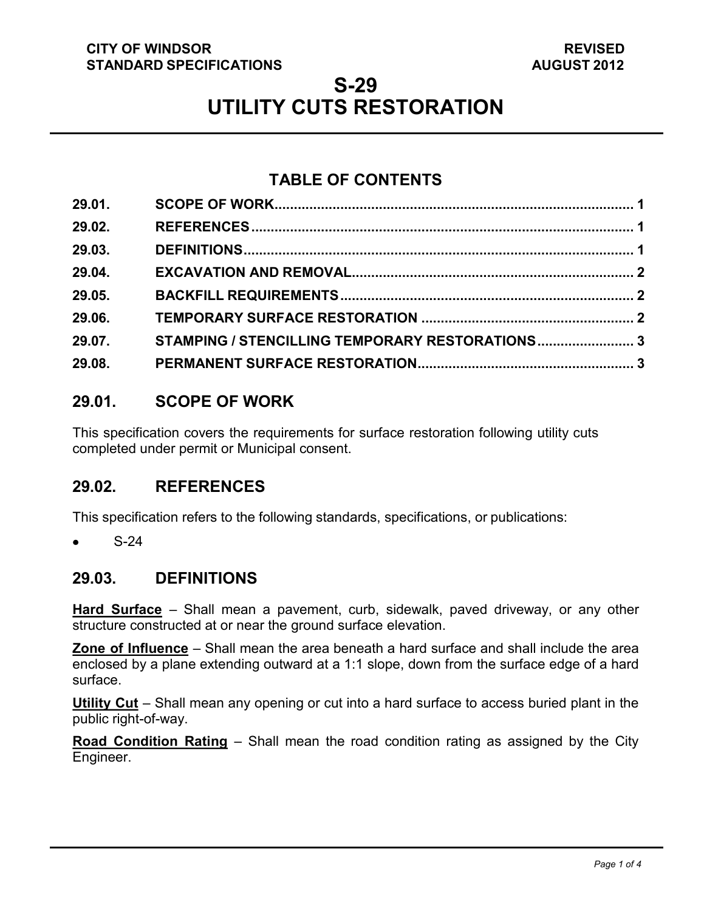### **CITY OF WINDSOR STANDARD SPECIFICATIONS**

# **S-29 UTILITY CUTS RESTORATION**

# **TABLE OF CONTENTS**

| 29.01. |                                                 |  |
|--------|-------------------------------------------------|--|
| 29.02. |                                                 |  |
| 29.03. |                                                 |  |
| 29.04. |                                                 |  |
| 29.05. |                                                 |  |
| 29.06. |                                                 |  |
| 29.07. | STAMPING / STENCILLING TEMPORARY RESTORATIONS 3 |  |
| 29.08. |                                                 |  |

# <span id="page-0-2"></span>**29.01. SCOPE OF WORK**

This specification covers the requirements for surface restoration following utility cuts completed under permit or Municipal consent.

# <span id="page-0-0"></span>**29.02. REFERENCES**

This specification refers to the following standards, specifications, or publications:

 S-24  $\bullet$ 

# <span id="page-0-1"></span>**29.03. DEFINITIONS**

**Hard Surface** – Shall mean a pavement, curb, sidewalk, paved driveway, or any other structure constructed at or near the ground surface elevation.

**Zone of Influence** – Shall mean the area beneath a hard surface and shall include the area enclosed by a plane extending outward at a 1:1 slope, down from the surface edge of a hard surface.

**Utility Cut** – Shall mean any opening or cut into a hard surface to access buried plant in the public right-of-way.

**Road Condition Rating** – Shall mean the road condition rating as assigned by the City Engineer.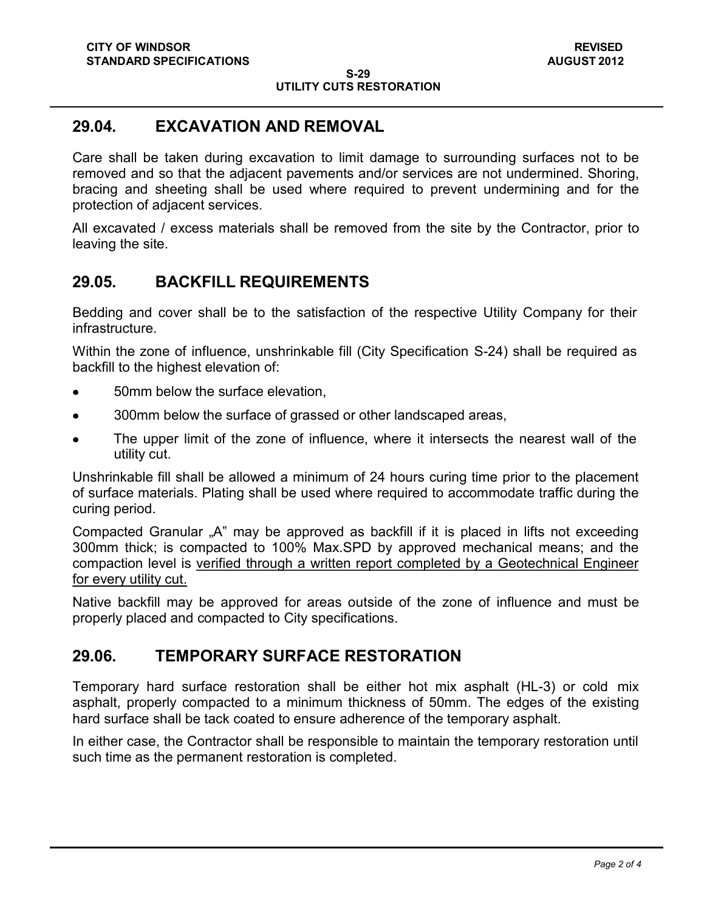#### **S-29 UTILITY CUTS RESTORATION**

### <span id="page-1-0"></span>**29.04. EXCAVATION AND REMOVAL**

Care shall be taken during excavation to limit damage to surrounding surfaces not to be removed and so that the adjacent pavements and/or services are not undermined. Shoring, bracing and sheeting shall be used where required to prevent undermining and for the protection of adjacent services.

All excavated / excess materials shall be removed from the site by the Contractor, prior to leaving the site.

### <span id="page-1-1"></span>**29.05. BACKFILL REQUIREMENTS**

Bedding and cover shall be to the satisfaction of the respective Utility Company for their infrastructure.

Within the zone of influence, unshrinkable fill (City Specification S-24) shall be required as backfill to the highest elevation of:

- 50mm below the surface elevation,
- 300mm below the surface of grassed or other landscaped areas,
- The upper limit of the zone of influence, where it intersects the nearest wall of the utility cut.

Unshrinkable fill shall be allowed a minimum of 24 hours curing time prior to the placement of surface materials. Plating shall be used where required to accommodate traffic during the curing period.

Compacted Granular "A" may be approved as backfill if it is placed in lifts not exceeding 300mm thick; is compacted to 100% Max.SPD by approved mechanical means; and the compaction level is verified through a written report completed by a Geotechnical Engineer for every utility cut.

Native backfill may be approved for areas outside of the zone of influence and must be properly placed and compacted to City specifications.

# <span id="page-1-2"></span>**29.06. TEMPORARY SURFACE RESTORATION**

Temporary hard surface restoration shall be either hot mix asphalt (HL-3) or cold mix asphalt, properly compacted to a minimum thickness of 50mm. The edges of the existing hard surface shall be tack coated to ensure adherence of the temporary asphalt.

In either case, the Contractor shall be responsible to maintain the temporary restoration until such time as the permanent restoration is completed.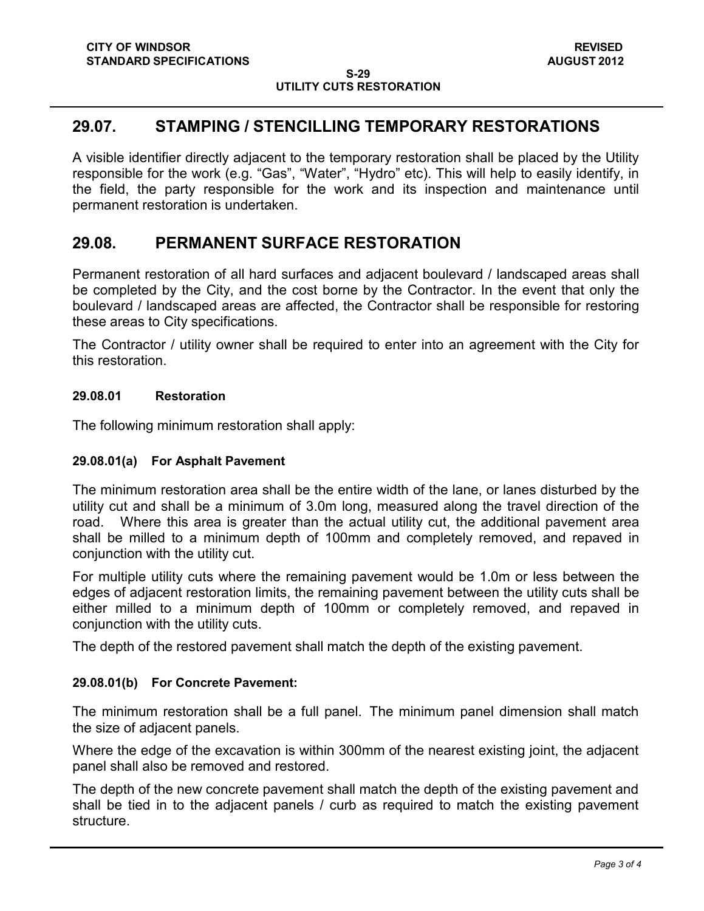#### **S-29 UTILITY CUTS RESTORATION**

### <span id="page-2-0"></span>**29.07. STAMPING / STENCILLING TEMPORARY RESTORATIONS**

A visible identifier directly adjacent to the temporary restoration shall be placed by the Utility responsible for the work (e.g. "Gas", "Water", "Hydro" etc). This will help to easily identify, in the field, the party responsible for the work and its inspection and maintenance until permanent restoration is undertaken.

### <span id="page-2-1"></span>**29.08. PERMANENT SURFACE RESTORATION**

Permanent restoration of all hard surfaces and adjacent boulevard / landscaped areas shall be completed by the City, and the cost borne by the Contractor. In the event that only the boulevard / landscaped areas are affected, the Contractor shall be responsible for restoring these areas to City specifications.

The Contractor / utility owner shall be required to enter into an agreement with the City for this restoration.

### **29.08.01 Restoration**

The following minimum restoration shall apply:

### **29.08.01(a) For Asphalt Pavement**

The minimum restoration area shall be the entire width of the lane, or lanes disturbed by the utility cut and shall be a minimum of 3.0m long, measured along the travel direction of the road. Where this area is greater than the actual utility cut, the additional pavement area shall be milled to a minimum depth of 100mm and completely removed, and repaved in conjunction with the utility cut.

For multiple utility cuts where the remaining pavement would be 1.0m or less between the edges of adjacent restoration limits, the remaining pavement between the utility cuts shall be either milled to a minimum depth of 100mm or completely removed, and repaved in conjunction with the utility cuts.

The depth of the restored pavement shall match the depth of the existing pavement.

#### **29.08.01(b) For Concrete Pavement:**

The minimum restoration shall be a full panel. The minimum panel dimension shall match the size of adjacent panels.

Where the edge of the excavation is within 300mm of the nearest existing joint, the adjacent panel shall also be removed and restored.

The depth of the new concrete pavement shall match the depth of the existing pavement and shall be tied in to the adjacent panels / curb as required to match the existing pavement structure.